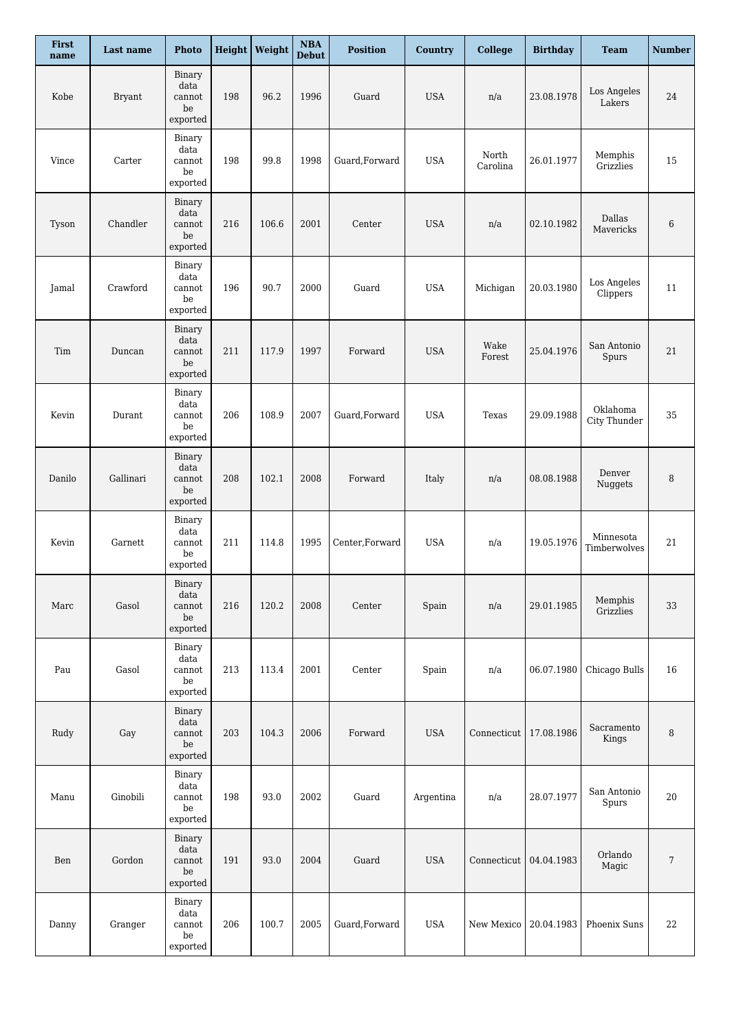| First<br>name | Last name     | <b>Photo</b>                                        |     | Height   Weight | $\boldsymbol{\rm NBA}$<br><b>Debut</b> | <b>Position</b> | <b>Country</b> | <b>College</b>           | <b>Birthday</b> | <b>Team</b>               | <b>Number</b> |
|---------------|---------------|-----------------------------------------------------|-----|-----------------|----------------------------------------|-----------------|----------------|--------------------------|-----------------|---------------------------|---------------|
| Kobe          | <b>Bryant</b> | Binary<br>data<br>cannot<br>$_{\rm be}$<br>exported | 198 | 96.2            | 1996                                   | Guard           | <b>USA</b>     | n/a                      | 23.08.1978      | Los Angeles<br>Lakers     | 24            |
| Vince         | Carter        | Binary<br>data<br>cannot<br>be<br>exported          | 198 | 99.8            | 1998                                   | Guard, Forward  | <b>USA</b>     | North<br>Carolina        | 26.01.1977      | Memphis<br>Grizzlies      | 15            |
| Tyson         | Chandler      | Binary<br>data<br>cannot<br>be<br>exported          | 216 | 106.6           | 2001                                   | Center          | <b>USA</b>     | n/a                      | 02.10.1982      | Dallas<br>Mavericks       | 6             |
| Jamal         | Crawford      | Binary<br>data<br>cannot<br>be<br>exported          | 196 | 90.7            | 2000                                   | Guard           | <b>USA</b>     | Michigan                 | 20.03.1980      | Los Angeles<br>Clippers   | 11            |
| Tim           | Duncan        | Binary<br>data<br>cannot<br>be<br>exported          | 211 | 117.9           | 1997                                   | Forward         | <b>USA</b>     | Wake<br>Forest           | 25.04.1976      | San Antonio<br>Spurs      | 21            |
| Kevin         | Durant        | Binary<br>data<br>cannot<br>be<br>exported          | 206 | 108.9           | 2007                                   | Guard, Forward  | <b>USA</b>     | Texas                    | 29.09.1988      | Oklahoma<br>City Thunder  | 35            |
| Danilo        | Gallinari     | Binary<br>data<br>cannot<br>$_{\rm be}$<br>exported | 208 | 102.1           | 2008                                   | Forward         | Italy          | n/a                      | 08.08.1988      | Denver<br>Nuggets         | 8             |
| Kevin         | Garnett       | Binary<br>data<br>cannot<br>be<br>exported          | 211 | 114.8           | 1995                                   | Center, Forward | <b>USA</b>     | n/a                      | 19.05.1976      | Minnesota<br>Timberwolves | 21            |
| Marc          | Gasol         | Binary<br>data<br>cannot<br>be<br>exported          | 216 | 120.2           | 2008                                   | Center          | Spain          | n/a                      | 29.01.1985      | Memphis<br>Grizzlies      | 33            |
| Pau           | Gasol         | Binary<br>data<br>cannot<br>be<br>exported          | 213 | 113.4           | 2001                                   | Center          | Spain          | n/a                      | 06.07.1980      | Chicago Bulls             | 16            |
| Rudy          | Gay           | Binary<br>data<br>cannot<br>$_{\rm be}$<br>exported | 203 | 104.3           | 2006                                   | Forward         | <b>USA</b>     | Connecticut   17.08.1986 |                 | Sacramento<br>Kings       | 8             |
| Manu          | Ginobili      | Binary<br>data<br>cannot<br>be<br>$\tt{expected}$   | 198 | 93.0            | 2002                                   | Guard           | Argentina      | n/a                      | 28.07.1977      | San Antonio<br>Spurs      | 20            |
| Ben           | Gordon        | Binary<br>data<br>cannot<br>be<br>exported          | 191 | 93.0            | 2004                                   | Guard           | <b>USA</b>     | Connecticut              | 04.04.1983      | Orlando<br>Magic          | 7             |
| Danny         | Granger       | Binary<br>data<br>cannot<br>$_{\rm be}$<br>exported | 206 | 100.7           | 2005                                   | Guard, Forward  | <b>USA</b>     | New Mexico               | 20.04.1983      | Phoenix Suns              | 22            |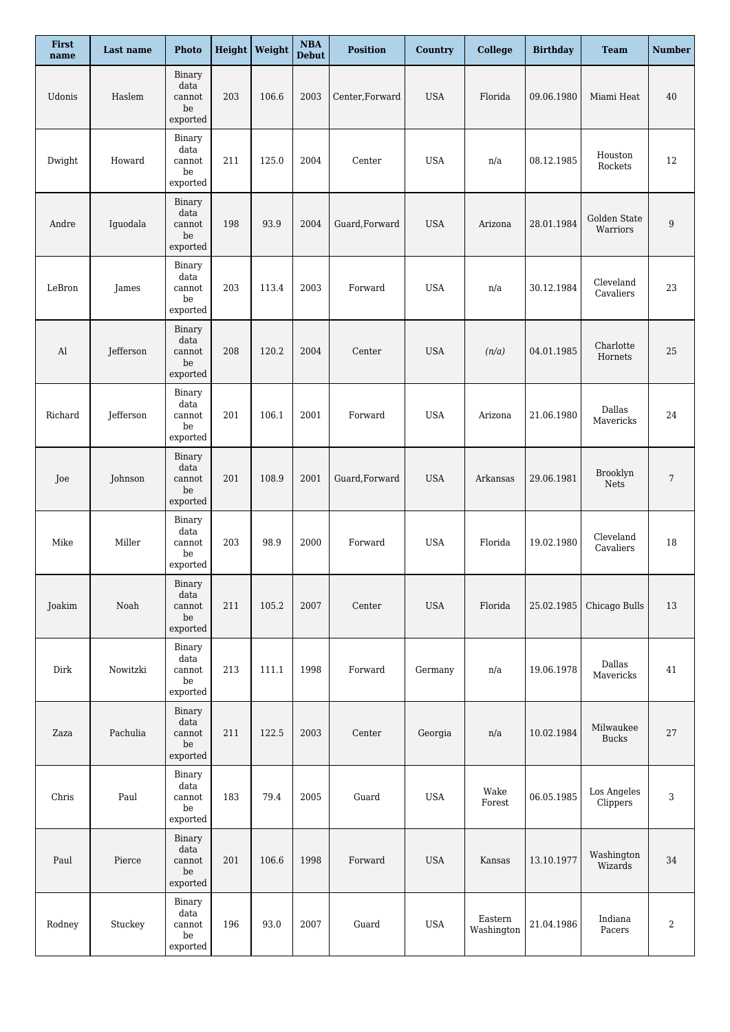| First<br>name | Last name | <b>Photo</b>                                        |     | <b>Height</b> Weight | $\mathbf{NBA}$<br><b>Debut</b> | <b>Position</b> | Country    | <b>College</b>        | <b>Birthday</b> | <b>Team</b>               | <b>Number</b>           |
|---------------|-----------|-----------------------------------------------------|-----|----------------------|--------------------------------|-----------------|------------|-----------------------|-----------------|---------------------------|-------------------------|
| Udonis        | Haslem    | Binary<br>data<br>cannot<br>$_{\rm be}$<br>exported | 203 | 106.6                | 2003                           | Center, Forward | <b>USA</b> | Florida               | 09.06.1980      | Miami Heat                | 40                      |
| Dwight        | Howard    | Binary<br>data<br>cannot<br>be<br>exported          | 211 | 125.0                | 2004                           | Center          | <b>USA</b> | n/a                   | 08.12.1985      | Houston<br>Rockets        | 12                      |
| Andre         | Iguodala  | Binary<br>data<br>cannot<br>be<br>exported          | 198 | 93.9                 | 2004                           | Guard, Forward  | <b>USA</b> | Arizona               | 28.01.1984      | Golden State<br>Warriors  | 9                       |
| LeBron        | James     | Binary<br>data<br>cannot<br>be<br>exported          | 203 | 113.4                | 2003                           | Forward         | <b>USA</b> | n/a                   | 30.12.1984      | Cleveland<br>Cavaliers    | 23                      |
| Al            | Jefferson | Binary<br>data<br>cannot<br>$_{\rm be}$<br>exported | 208 | 120.2                | 2004                           | Center          | <b>USA</b> | (n/a)                 | 04.01.1985      | Charlotte<br>Hornets      | 25                      |
| Richard       | Jefferson | Binary<br>data<br>cannot<br>be<br>exported          | 201 | 106.1                | 2001                           | Forward         | <b>USA</b> | Arizona               | 21.06.1980      | Dallas<br>Mavericks       | 24                      |
| Joe           | Johnson   | Binary<br>data<br>cannot<br>be<br>exported          | 201 | 108.9                | 2001                           | Guard, Forward  | <b>USA</b> | Arkansas              | 29.06.1981      | Brooklyn<br>Nets          | 7                       |
| Mike          | Miller    | Binary<br>data<br>cannot<br>be<br>exported          | 203 | 98.9                 | 2000                           | Forward         | <b>USA</b> | Florida               | 19.02.1980      | Cleveland<br>Cavaliers    | 18                      |
| Joakim        | Noah      | Binary<br>data<br>cannot<br>be<br>exported          | 211 | 105.2                | 2007                           | Center          | <b>USA</b> | Florida               | 25.02.1985      | Chicago Bulls             | 13                      |
| Dirk          | Nowitzki  | Binary<br>data<br>cannot<br>be<br>exported          | 213 | 111.1                | 1998                           | Forward         | Germany    | n/a                   | 19.06.1978      | Dallas<br>Mavericks       | 41                      |
| Zaza          | Pachulia  | Binary<br>data<br>cannot<br>$_{\rm be}$<br>exported | 211 | 122.5                | 2003                           | Center          | Georgia    | n/a                   | 10.02.1984      | Milwaukee<br><b>Bucks</b> | $27\,$                  |
| Chris         | Paul      | Binary<br>data<br>cannot<br>be<br>exported          | 183 | 79.4                 | 2005                           | Guard           | <b>USA</b> | Wake<br>Forest        | 06.05.1985      | Los Angeles<br>Clippers   | 3                       |
| Paul          | Pierce    | Binary<br>data<br>cannot<br>be<br>exported          | 201 | 106.6                | 1998                           | Forward         | <b>USA</b> | Kansas                | 13.10.1977      | Washington<br>Wizards     | 34                      |
| Rodney        | Stuckey   | Binary<br>data<br>cannot<br>$_{\rm be}$<br>exported | 196 | 93.0                 | 2007                           | Guard           | <b>USA</b> | Eastern<br>Washington | 21.04.1986      | Indiana<br>Pacers         | $\overline{\mathbf{c}}$ |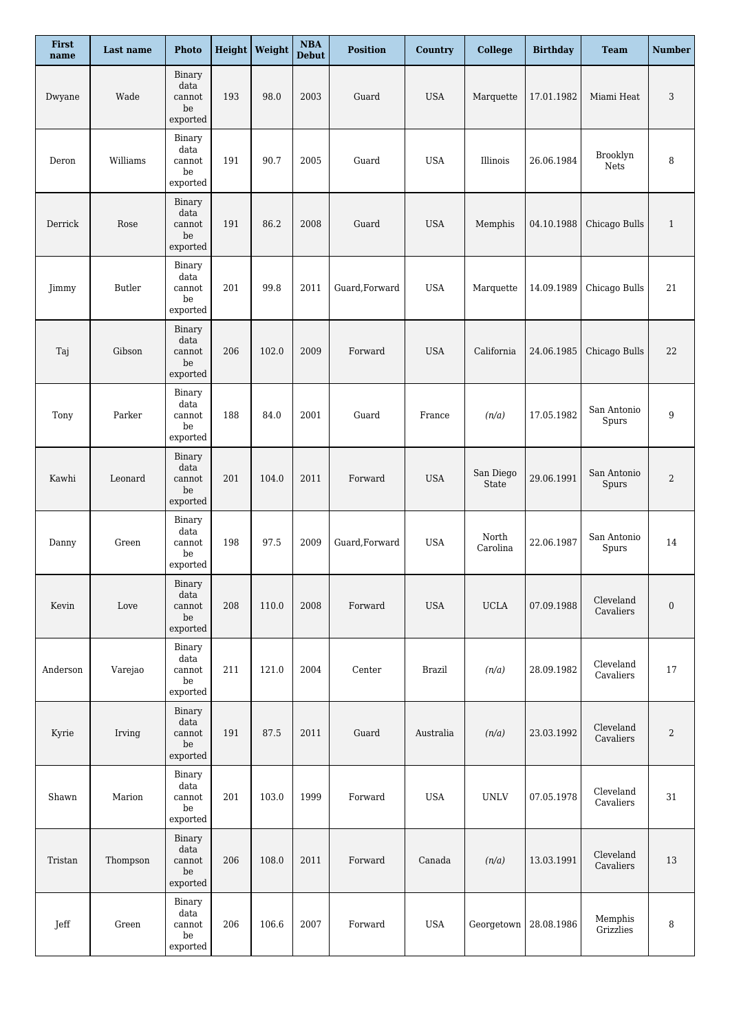| First<br>name | Last name | <b>Photo</b>                                               |     | Height   Weight | $\boldsymbol{\mathrm{NBA}}$<br><b>Debut</b> | <b>Position</b> | <b>Country</b> | <b>College</b>     | <b>Birthday</b> | <b>Team</b>            | <b>Number</b>    |
|---------------|-----------|------------------------------------------------------------|-----|-----------------|---------------------------------------------|-----------------|----------------|--------------------|-----------------|------------------------|------------------|
| Dwyane        | Wade      | Binary<br>data<br>cannot<br>be<br>exported                 | 193 | 98.0            | 2003                                        | Guard           | <b>USA</b>     | Marquette          | 17.01.1982      | Miami Heat             | 3                |
| Deron         | Williams  | Binary<br>data<br>cannot<br>be<br>exported                 | 191 | 90.7            | 2005                                        | Guard           | <b>USA</b>     | Illinois           | 26.06.1984      | Brooklyn<br>Nets       | 8                |
| Derrick       | Rose      | Binary<br>data<br>cannot<br>be<br>exported                 | 191 | 86.2            | 2008                                        | Guard           | <b>USA</b>     | Memphis            | 04.10.1988      | Chicago Bulls          | $\mathbf{1}$     |
| Jimmy         | Butler    | Binary<br>data<br>cannot<br>be<br>$\tt{expected}$          | 201 | 99.8            | 2011                                        | Guard, Forward  | <b>USA</b>     | Marquette          | 14.09.1989      | Chicago Bulls          | 21               |
| Taj           | Gibson    | Binary<br>data<br>cannot<br>$_{\rm be}$<br>exported        | 206 | 102.0           | 2009                                        | Forward         | <b>USA</b>     | California         | 24.06.1985      | Chicago Bulls          | 22               |
| Tony          | Parker    | Binary<br>data<br>cannot<br>be<br>exported                 | 188 | 84.0            | 2001                                        | Guard           | France         | (n/a)              | 17.05.1982      | San Antonio<br>Spurs   | 9                |
| Kawhi         | Leonard   | Binary<br>data<br>cannot<br>$_{\rm be}$<br>$\tt{exported}$ | 201 | 104.0           | 2011                                        | Forward         | <b>USA</b>     | San Diego<br>State | 29.06.1991      | San Antonio<br>Spurs   | 2                |
| Danny         | Green     | Binary<br>data<br>cannot<br>be<br>exported                 | 198 | 97.5            | 2009                                        | Guard, Forward  | <b>USA</b>     | North<br>Carolina  | 22.06.1987      | San Antonio<br>Spurs   | 14               |
| Kevin         | Love      | Binary<br>data<br>cannot<br>be<br>exported                 | 208 | 110.0           | 2008                                        | Forward         | <b>USA</b>     | <b>UCLA</b>        | 07.09.1988      | Cleveland<br>Cavaliers | $\boldsymbol{0}$ |
| Anderson      | Varejao   | Binary<br>data<br>cannot<br>be<br>exported                 | 211 | 121.0           | 2004                                        | Center          | <b>Brazil</b>  | (n/a)              | 28.09.1982      | Cleveland<br>Cavaliers | $17\,$           |
| Kyrie         | Irving    | Binary<br>data<br>cannot<br>$_{\rm be}$<br>exported        | 191 | 87.5            | 2011                                        | Guard           | Australia      | (n/a)              | 23.03.1992      | Cleveland<br>Cavaliers | $\overline{c}$   |
| Shawn         | Marion    | Binary<br>data<br>cannot<br>be<br>exported                 | 201 | 103.0           | 1999                                        | Forward         | <b>USA</b>     | <b>UNLV</b>        | 07.05.1978      | Cleveland<br>Cavaliers | 31               |
| Tristan       | Thompson  | Binary<br>data<br>cannot<br>$_{\rm be}$<br>exported        | 206 | 108.0           | 2011                                        | Forward         | Canada         | (n/a)              | 13.03.1991      | Cleveland<br>Cavaliers | 13               |
| Jeff          | Green     | Binary<br>data<br>cannot<br>be<br>exported                 | 206 | 106.6           | 2007                                        | Forward         | <b>USA</b>     | Georgetown         | 28.08.1986      | Memphis<br>Grizzlies   | 8                |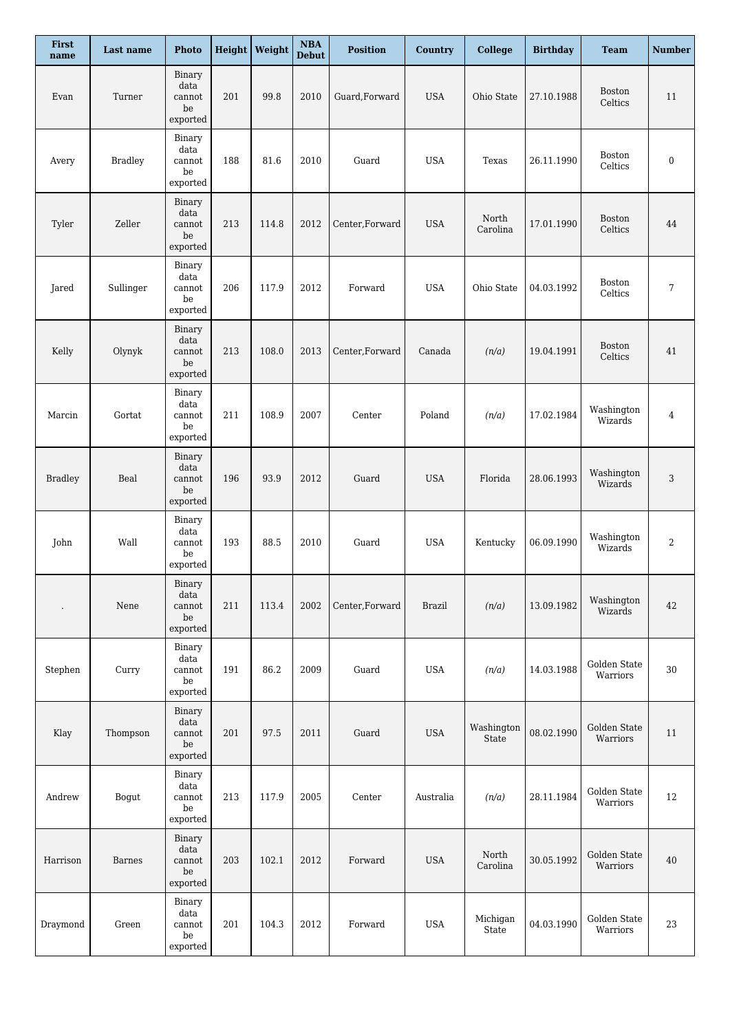| First<br>name        | Last name      | <b>Photo</b>                                        |     | <b>Height</b> Weight | $\boldsymbol{\mathrm{NBA}}$<br><b>Debut</b> | <b>Position</b> | <b>Country</b> | <b>College</b>      | <b>Birthday</b> | <b>Team</b>              | <b>Number</b>    |
|----------------------|----------------|-----------------------------------------------------|-----|----------------------|---------------------------------------------|-----------------|----------------|---------------------|-----------------|--------------------------|------------------|
| Evan                 | Turner         | Binary<br>data<br>cannot<br>be<br>exported          | 201 | 99.8                 | 2010                                        | Guard, Forward  | <b>USA</b>     | Ohio State          | 27.10.1988      | <b>Boston</b><br>Celtics | 11               |
| Avery                | <b>Bradley</b> | Binary<br>data<br>cannot<br>be<br>exported          | 188 | 81.6                 | 2010                                        | Guard           | <b>USA</b>     | Texas               | 26.11.1990      | Boston<br>Celtics        | $\boldsymbol{0}$ |
| Tyler                | Zeller         | Binary<br>data<br>cannot<br>be<br>exported          | 213 | 114.8                | 2012                                        | Center, Forward | <b>USA</b>     | North<br>Carolina   | 17.01.1990      | Boston<br>Celtics        | 44               |
| Jared                | Sullinger      | Binary<br>data<br>cannot<br>be<br>exported          | 206 | 117.9                | 2012                                        | Forward         | <b>USA</b>     | Ohio State          | 04.03.1992      | Boston<br>Celtics        | 7                |
| Kelly                | Olynyk         | Binary<br>data<br>cannot<br>$_{\rm be}$<br>exported | 213 | 108.0                | 2013                                        | Center, Forward | Canada         | (n/a)               | 19.04.1991      | Boston<br>Celtics        | 41               |
| Marcin               | Gortat         | Binary<br>data<br>cannot<br>be<br>exported          | 211 | 108.9                | 2007                                        | Center          | Poland         | (n/a)               | 17.02.1984      | Washington<br>Wizards    | 4                |
| <b>Bradley</b>       | Beal           | Binary<br>data<br>cannot<br>$_{\rm be}$<br>exported | 196 | 93.9                 | 2012                                        | Guard           | <b>USA</b>     | Florida             | 28.06.1993      | Washington<br>Wizards    | 3                |
| John                 | Wall           | Binary<br>data<br>cannot<br>be<br>exported          | 193 | 88.5                 | 2010                                        | Guard           | <b>USA</b>     | Kentucky            | 06.09.1990      | Washington<br>Wizards    | 2                |
| $\ddot{\phantom{0}}$ | Nene           | Binary<br>data<br>cannot<br>be<br>exported          | 211 | 113.4                | 2002                                        | Center, Forward | <b>Brazil</b>  | (n/a)               | 13.09.1982      | Washington<br>Wizards    | 42               |
| Stephen              | Curry          | Binary<br>data<br>cannot<br>be<br>exported          | 191 | 86.2                 | 2009                                        | Guard           | <b>USA</b>     | (n/a)               | 14.03.1988      | Golden State<br>Warriors | 30               |
| Klay                 | Thompson       | Binary<br>data<br>cannot<br>$_{\rm be}$<br>exported | 201 | 97.5                 | 2011                                        | Guard           | <b>USA</b>     | Washington<br>State | 08.02.1990      | Golden State<br>Warriors | 11               |
| Andrew               | Bogut          | Binary<br>data<br>cannot<br>be<br>exported          | 213 | 117.9                | 2005                                        | Center          | Australia      | (n/a)               | 28.11.1984      | Golden State<br>Warriors | 12               |
| Harrison             | <b>Barnes</b>  | Binary<br>data<br>cannot<br>be<br>exported          | 203 | 102.1                | 2012                                        | Forward         | <b>USA</b>     | North<br>Carolina   | 30.05.1992      | Golden State<br>Warriors | 40               |
| Draymond             | Green          | Binary<br>data<br>cannot<br>$_{\rm be}$<br>exported | 201 | 104.3                | 2012                                        | Forward         | <b>USA</b>     | Michigan<br>State   | 04.03.1990      | Golden State<br>Warriors | 23               |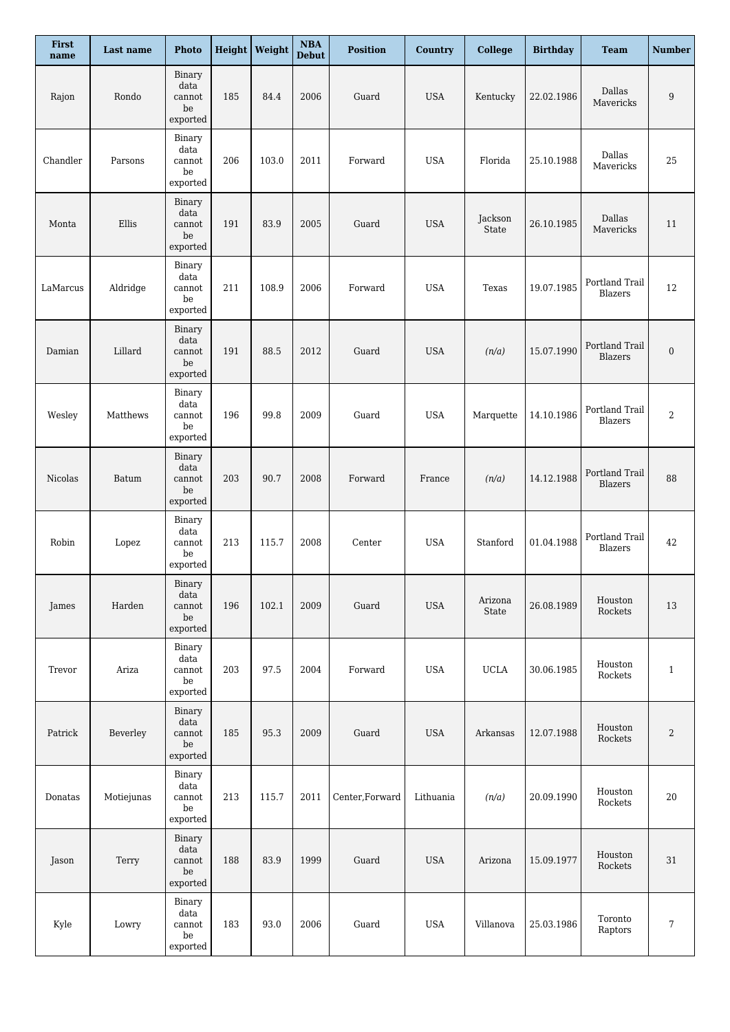| First<br>name | Last name              | <b>Photo</b>                                               |     | <b>Height</b> Weight | $\boldsymbol{\rm NBA}$<br><b>Debut</b> | <b>Position</b> | Country    | <b>College</b>   | <b>Birthday</b> | <b>Team</b>                      | <b>Number</b>    |
|---------------|------------------------|------------------------------------------------------------|-----|----------------------|----------------------------------------|-----------------|------------|------------------|-----------------|----------------------------------|------------------|
| Rajon         | Rondo                  | Binary<br>data<br>cannot<br>be<br>exported                 | 185 | 84.4                 | 2006                                   | Guard           | <b>USA</b> | Kentucky         | 22.02.1986      | Dallas<br>Mavericks              | 9                |
| Chandler      | Parsons                | Binary<br>data<br>cannot<br>be<br>exported                 | 206 | 103.0                | 2011                                   | Forward         | <b>USA</b> | Florida          | 25.10.1988      | Dallas<br>Mavericks              | 25               |
| Monta         | Ellis                  | Binary<br>data<br>cannot<br>be<br>exported                 | 191 | 83.9                 | 2005                                   | Guard           | <b>USA</b> | Jackson<br>State | 26.10.1985      | Dallas<br>Mavericks              | 11               |
| LaMarcus      | Aldridge               | Binary<br>data<br>cannot<br>be<br>$\tt{expected}$          | 211 | 108.9                | 2006                                   | Forward         | <b>USA</b> | Texas            | 19.07.1985      | Portland Trail<br>Blazers        | 12               |
| Damian        | Lillard                | Binary<br>data<br>cannot<br>$_{\rm be}$<br>exported        | 191 | 88.5                 | 2012                                   | Guard           | <b>USA</b> | (n/a)            | 15.07.1990      | Portland Trail<br><b>Blazers</b> | $\boldsymbol{0}$ |
| Wesley        | Matthews               | Binary<br>data<br>cannot<br>be<br>$\tt{expected}$          | 196 | 99.8                 | 2009                                   | Guard           | <b>USA</b> | Marquette        | 14.10.1986      | Portland Trail<br>Blazers        | 2                |
| Nicolas       | Batum                  | Binary<br>data<br>cannot<br>$_{\rm be}$<br>$\tt{expected}$ | 203 | 90.7                 | 2008                                   | Forward         | France     | (n/a)            | 14.12.1988      | Portland Trail<br>Blazers        | 88               |
| Robin         | $\operatorname{Lopez}$ | Binary<br>data<br>cannot<br>be<br>$\tt{expected}$          | 213 | 115.7                | 2008                                   | Center          | <b>USA</b> | Stanford         | 01.04.1988      | Portland Trail<br>Blazers        | 42               |
| James         | Harden                 | Binary<br>data<br>cannot<br>be<br>exported                 | 196 | 102.1                | 2009                                   | Guard           | <b>USA</b> | Arizona<br>State | 26.08.1989      | Houston<br>Rockets               | 13               |
| Trevor        | Ariza                  | Binary<br>data<br>cannot<br>be<br>exported                 | 203 | 97.5                 | 2004                                   | Forward         | <b>USA</b> | $_{\rm UCLA}$    | 30.06.1985      | Houston<br>Rockets               | $\mathbf{1}$     |
| Patrick       | Beverley               | Binary<br>data<br>cannot<br>$_{\rm be}$<br>exported        | 185 | 95.3                 | 2009                                   | Guard           | <b>USA</b> | Arkansas         | 12.07.1988      | Houston<br>Rockets               | 2                |
| Donatas       | Motiejunas             | Binary<br>data<br>cannot<br>be<br>$\tt{expected}$          | 213 | 115.7                | 2011                                   | Center, Forward | Lithuania  | (n/a)            | 20.09.1990      | Houston<br>Rockets               | 20               |
| Jason         | Terry                  | Binary<br>data<br>cannot<br>$_{\rm be}$<br>exported        | 188 | 83.9                 | 1999                                   | Guard           | <b>USA</b> | Arizona          | 15.09.1977      | Houston<br>Rockets               | 31               |
| Kyle          | Lowry                  | Binary<br>data<br>cannot<br>be<br>exported                 | 183 | 93.0                 | 2006                                   | Guard           | <b>USA</b> | Villanova        | 25.03.1986      | Toronto<br>Raptors               | 7                |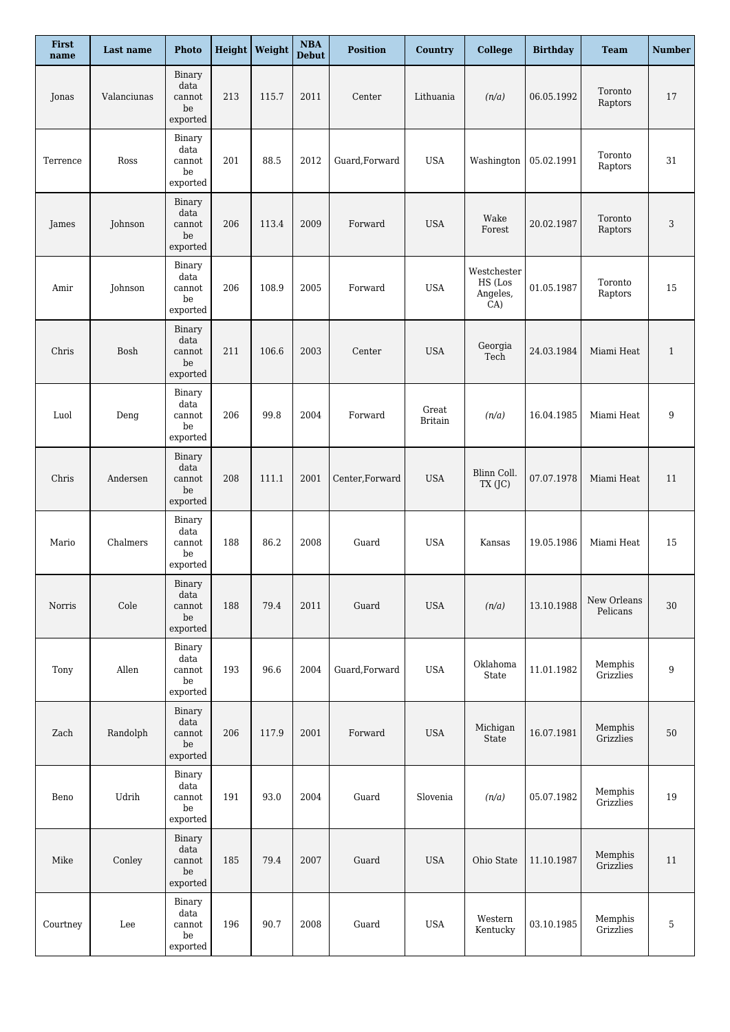| First<br>name | Last name   | <b>Photo</b>                                               |     | Height   Weight | $\boldsymbol{\mathrm{NBA}}$<br><b>Debut</b> | <b>Position</b> | Country                 | <b>College</b>                            | <b>Birthday</b> | <b>Team</b>             | <b>Number</b> |
|---------------|-------------|------------------------------------------------------------|-----|-----------------|---------------------------------------------|-----------------|-------------------------|-------------------------------------------|-----------------|-------------------------|---------------|
| Jonas         | Valanciunas | Binary<br>data<br>cannot<br>be<br>exported                 | 213 | 115.7           | 2011                                        | Center          | Lithuania               | (n/a)                                     | 06.05.1992      | Toronto<br>Raptors      | 17            |
| Terrence      | Ross        | Binary<br>data<br>cannot<br>be<br>exported                 | 201 | 88.5            | 2012                                        | Guard, Forward  | <b>USA</b>              | Washington                                | 05.02.1991      | Toronto<br>Raptors      | 31            |
| James         | Johnson     | Binary<br>data<br>cannot<br>be<br>exported                 | 206 | 113.4           | 2009                                        | Forward         | <b>USA</b>              | Wake<br>Forest                            | 20.02.1987      | Toronto<br>Raptors      | 3             |
| Amir          | Johnson     | Binary<br>data<br>cannot<br>be<br>$\tt{expected}$          | 206 | 108.9           | 2005                                        | Forward         | <b>USA</b>              | Westchester<br>HS (Los<br>Angeles,<br>CA) | 01.05.1987      | Toronto<br>Raptors      | 15            |
| Chris         | Bosh        | Binary<br>data<br>cannot<br>be<br>exported                 | 211 | 106.6           | 2003                                        | Center          | <b>USA</b>              | Georgia<br>Tech                           | 24.03.1984      | Miami Heat              | $\mathbf{1}$  |
| Luol          | Deng        | Binary<br>data<br>cannot<br>be<br>exported                 | 206 | 99.8            | 2004                                        | Forward         | Great<br><b>Britain</b> | (n/a)                                     | 16.04.1985      | Miami Heat              | 9             |
| Chris         | Andersen    | Binary<br>data<br>cannot<br>$_{\rm be}$<br>$\tt{expected}$ | 208 | 111.1           | 2001                                        | Center, Forward | <b>USA</b>              | Blinn Coll.<br>TX (JC)                    | 07.07.1978      | Miami Heat              | 11            |
| Mario         | Chalmers    | Binary<br>data<br>cannot<br>be<br>exported                 | 188 | 86.2            | 2008                                        | Guard           | <b>USA</b>              | Kansas                                    | 19.05.1986      | Miami Heat              | 15            |
| Norris        | Cole        | Binary<br>data<br>cannot<br>be<br>exported                 | 188 | 79.4            | 2011                                        | Guard           | <b>USA</b>              | (n/a)                                     | 13.10.1988      | New Orleans<br>Pelicans | 30            |
| Tony          | Allen       | Binary<br>data<br>cannot<br>be<br>exported                 | 193 | 96.6            | 2004                                        | Guard, Forward  | <b>USA</b>              | Oklahoma<br>State                         | 11.01.1982      | Memphis<br>Grizzlies    | 9             |
| Zach          | Randolph    | Binary<br>data<br>cannot<br>$_{\rm be}$<br>exported        | 206 | 117.9           | 2001                                        | Forward         | <b>USA</b>              | Michigan<br>State                         | 16.07.1981      | Memphis<br>Grizzlies    | 50            |
| Beno          | Udrih       | Binary<br>data<br>cannot<br>be<br>exported                 | 191 | 93.0            | 2004                                        | Guard           | Slovenia                | (n/a)                                     | 05.07.1982      | Memphis<br>Grizzlies    | 19            |
| Mike          | Conley      | Binary<br>data<br>cannot<br>$_{\rm be}$<br>exported        | 185 | 79.4            | 2007                                        | Guard           | <b>USA</b>              | Ohio State                                | 11.10.1987      | Memphis<br>Grizzlies    | 11            |
| Courtney      | Lee         | Binary<br>data<br>cannot<br>be<br>exported                 | 196 | 90.7            | 2008                                        | Guard           | <b>USA</b>              | Western<br>Kentucky                       | 03.10.1985      | Memphis<br>Grizzlies    | 5             |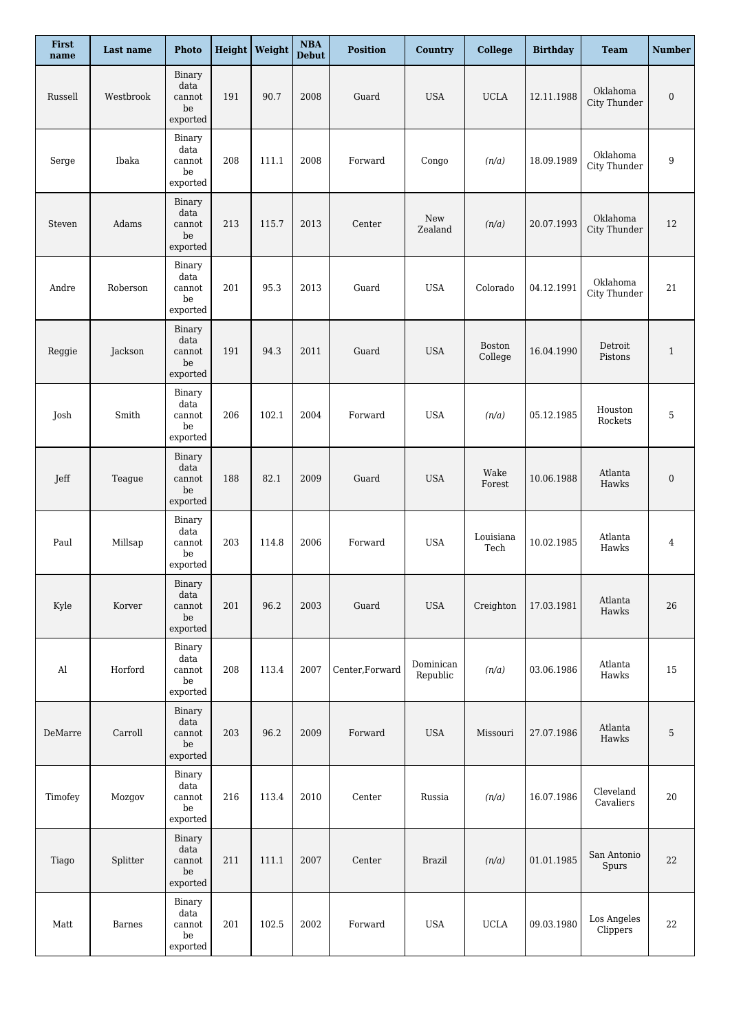| First<br>name | Last name | <b>Photo</b>                                        |     | <b>Height</b> Weight | $\mathbf{NBA}$<br><b>Debut</b> | <b>Position</b> | Country               | <b>College</b>           | <b>Birthday</b> | <b>Team</b>              | <b>Number</b>    |
|---------------|-----------|-----------------------------------------------------|-----|----------------------|--------------------------------|-----------------|-----------------------|--------------------------|-----------------|--------------------------|------------------|
| Russell       | Westbrook | Binary<br>data<br>cannot<br>$_{\rm be}$<br>exported | 191 | 90.7                 | 2008                           | Guard           | <b>USA</b>            | <b>UCLA</b>              | 12.11.1988      | Oklahoma<br>City Thunder | $\boldsymbol{0}$ |
| Serge         | Ibaka     | Binary<br>data<br>cannot<br>be<br>exported          | 208 | 111.1                | 2008                           | Forward         | Congo                 | (n/a)                    | 18.09.1989      | Oklahoma<br>City Thunder | 9                |
| Steven        | Adams     | Binary<br>data<br>cannot<br>be<br>exported          | 213 | 115.7                | 2013                           | Center          | New<br>Zealand        | (n/a)                    | 20.07.1993      | Oklahoma<br>City Thunder | 12               |
| Andre         | Roberson  | Binary<br>data<br>cannot<br>be<br>exported          | 201 | 95.3                 | 2013                           | Guard           | <b>USA</b>            | Colorado                 | 04.12.1991      | Oklahoma<br>City Thunder | 21               |
| Reggie        | Jackson   | Binary<br>data<br>cannot<br>$_{\rm be}$<br>exported | 191 | 94.3                 | 2011                           | Guard           | <b>USA</b>            | <b>Boston</b><br>College | 16.04.1990      | Detroit<br>Pistons       | $\mathbf{1}$     |
| Josh          | Smith     | Binary<br>data<br>cannot<br>be<br>$\tt{expected}$   | 206 | 102.1                | 2004                           | Forward         | <b>USA</b>            | (n/a)                    | 05.12.1985      | Houston<br>Rockets       | 5                |
| Jeff          | Teague    | Binary<br>data<br>cannot<br>$_{\rm be}$<br>exported | 188 | 82.1                 | 2009                           | Guard           | <b>USA</b>            | Wake<br>Forest           | 10.06.1988      | Atlanta<br>Hawks         | $\boldsymbol{0}$ |
| Paul          | Millsap   | Binary<br>data<br>cannot<br>be<br>exported          | 203 | 114.8                | 2006                           | Forward         | <b>USA</b>            | Louisiana<br>Tech        | 10.02.1985      | Atlanta<br>Hawks         | 4                |
| Kyle          | Korver    | Binary<br>data<br>cannot<br>be<br>exported          | 201 | 96.2                 | 2003                           | Guard           | <b>USA</b>            | Creighton                | 17.03.1981      | Atlanta<br>Hawks         | 26               |
| $\rm Al$      | Horford   | Binary<br>data<br>cannot<br>be<br>exported          | 208 | 113.4                | 2007                           | Center, Forward | Dominican<br>Republic | (n/a)                    | 03.06.1986      | Atlanta<br>Hawks         | 15               |
| DeMarre       | Carroll   | Binary<br>data<br>cannot<br>$_{\rm be}$<br>exported | 203 | 96.2                 | 2009                           | Forward         | <b>USA</b>            | Missouri                 | 27.07.1986      | Atlanta<br>Hawks         | 5                |
| Timofey       | Mozgov    | Binary<br>data<br>cannot<br>be<br>exported          | 216 | 113.4                | 2010                           | Center          | Russia                | (n/a)                    | 16.07.1986      | Cleveland<br>Cavaliers   | $20\,$           |
| Tiago         | Splitter  | Binary<br>data<br>cannot<br>be<br>exported          | 211 | 111.1                | 2007                           | Center          | <b>Brazil</b>         | (n/a)                    | 01.01.1985      | San Antonio<br>Spurs     | 22               |
| Matt          | Barnes    | Binary<br>data<br>cannot<br>$_{\rm be}$<br>exported | 201 | 102.5                | 2002                           | Forward         | <b>USA</b>            | <b>UCLA</b>              | 09.03.1980      | Los Angeles<br>Clippers  | 22               |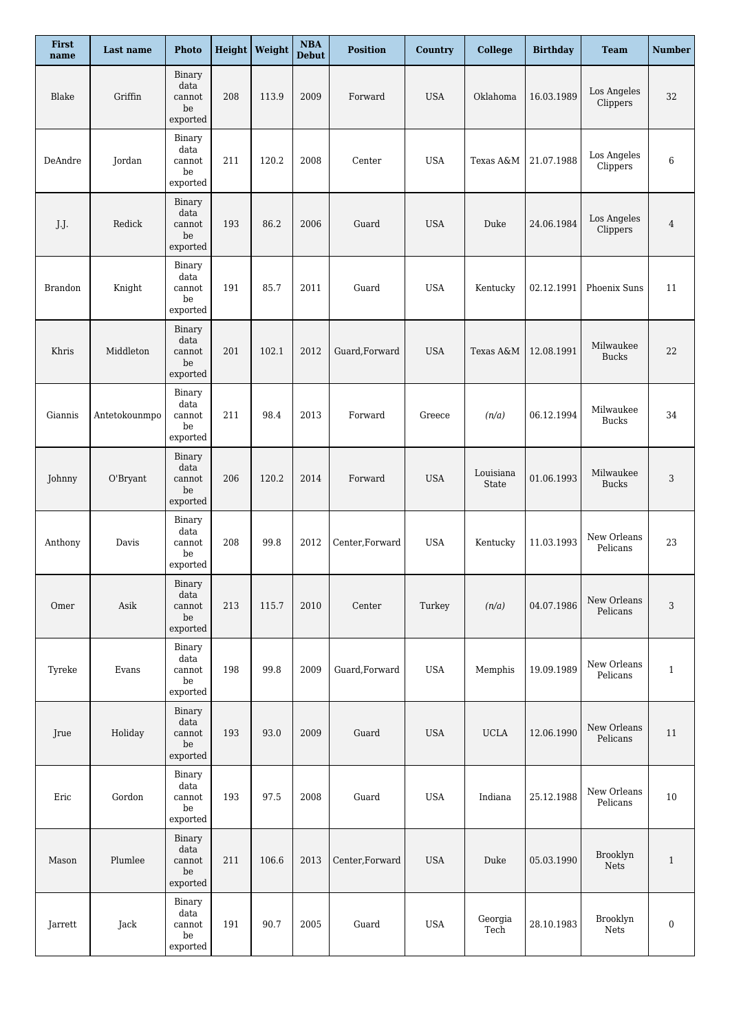| First<br>name  | Last name     | Photo                                               |     | <b>Height</b> Weight | $\boldsymbol{\rm NBA}$<br><b>Debut</b> | <b>Position</b> | Country    | <b>College</b>     | <b>Birthday</b> | Team                      | <b>Number</b>    |
|----------------|---------------|-----------------------------------------------------|-----|----------------------|----------------------------------------|-----------------|------------|--------------------|-----------------|---------------------------|------------------|
| Blake          | Griffin       | Binary<br>data<br>cannot<br>be<br>exported          | 208 | 113.9                | 2009                                   | Forward         | <b>USA</b> | Oklahoma           | 16.03.1989      | Los Angeles<br>Clippers   | 32               |
| DeAndre        | Jordan        | Binary<br>data<br>cannot<br>be<br>exported          | 211 | 120.2                | 2008                                   | Center          | <b>USA</b> | Texas A&M          | 21.07.1988      | Los Angeles<br>Clippers   | 6                |
| J.J.           | Redick        | Binary<br>data<br>cannot<br>be<br>exported          | 193 | 86.2                 | 2006                                   | Guard           | <b>USA</b> | Duke               | 24.06.1984      | Los Angeles<br>Clippers   | $\overline{4}$   |
| <b>Brandon</b> | Knight        | Binary<br>data<br>cannot<br>be<br>$\tt{expected}$   | 191 | 85.7                 | 2011                                   | Guard           | <b>USA</b> | Kentucky           | 02.12.1991      | Phoenix Suns              | 11               |
| Khris          | Middleton     | Binary<br>data<br>cannot<br>be<br>exported          | 201 | 102.1                | 2012                                   | Guard, Forward  | <b>USA</b> | Texas A&M          | 12.08.1991      | Milwaukee<br><b>Bucks</b> | 22               |
| Giannis        | Antetokounmpo | Binary<br>data<br>cannot<br>be<br>exported          | 211 | 98.4                 | 2013                                   | Forward         | Greece     | (n/a)              | 06.12.1994      | Milwaukee<br><b>Bucks</b> | 34               |
| Johnny         | O'Bryant      | Binary<br>data<br>cannot<br>be<br>exported          | 206 | 120.2                | 2014                                   | Forward         | <b>USA</b> | Louisiana<br>State | 01.06.1993      | Milwaukee<br><b>Bucks</b> | 3                |
| Anthony        | Davis         | Binary<br>data<br>cannot<br>be<br>exported          | 208 | 99.8                 | 2012                                   | Center, Forward | <b>USA</b> | Kentucky           | 11.03.1993      | New Orleans<br>Pelicans   | 23               |
| Omer           | Asik          | Binary<br>data<br>cannot<br>be<br>exported          | 213 | 115.7                | 2010                                   | Center          | Turkey     | (n/a)              | 04.07.1986      | New Orleans<br>Pelicans   | 3                |
| Tyreke         | Evans         | Binary<br>data<br>cannot<br>be<br>exported          | 198 | 99.8                 | 2009                                   | Guard, Forward  | <b>USA</b> | Memphis            | 19.09.1989      | New Orleans<br>Pelicans   | $\mathbf{1}$     |
| Jrue           | Holiday       | Binary<br>data<br>cannot<br>$_{\rm be}$<br>exported | 193 | 93.0                 | 2009                                   | Guard           | <b>USA</b> | <b>UCLA</b>        | 12.06.1990      | New Orleans<br>Pelicans   | 11               |
| Eric           | Gordon        | Binary<br>data<br>cannot<br>be<br>exported          | 193 | 97.5                 | 2008                                   | Guard           | <b>USA</b> | Indiana            | 25.12.1988      | New Orleans<br>Pelicans   | 10               |
| Mason          | Plumlee       | Binary<br>data<br>cannot<br>$_{\rm be}$<br>exported | 211 | 106.6                | 2013                                   | Center, Forward | <b>USA</b> | Duke               | 05.03.1990      | Brooklyn<br>Nets          | $\mathbf{1}$     |
| Jarrett        | Jack          | Binary<br>data<br>cannot<br>be<br>exported          | 191 | 90.7                 | 2005                                   | Guard           | <b>USA</b> | Georgia<br>Tech    | 28.10.1983      | Brooklyn<br>Nets          | $\boldsymbol{0}$ |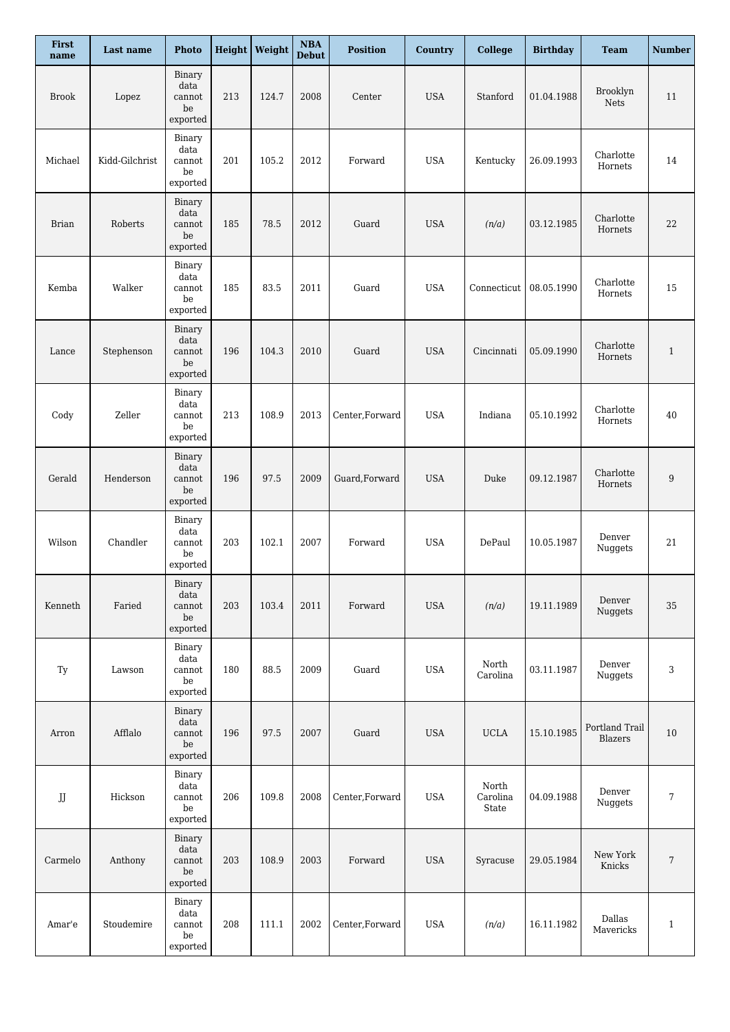| First<br>name     | Last name      | <b>Photo</b>                                        |     | Height   Weight | $\boldsymbol{\mathrm{NBA}}$<br><b>Debut</b> | <b>Position</b> | <b>Country</b> | <b>College</b>             | <b>Birthday</b> | <b>Team</b>                      | <b>Number</b> |
|-------------------|----------------|-----------------------------------------------------|-----|-----------------|---------------------------------------------|-----------------|----------------|----------------------------|-----------------|----------------------------------|---------------|
| <b>Brook</b>      | Lopez          | Binary<br>data<br>cannot<br>be<br>exported          | 213 | 124.7           | 2008                                        | Center          | <b>USA</b>     | Stanford                   | 01.04.1988      | Brooklyn<br><b>Nets</b>          | 11            |
| Michael           | Kidd-Gilchrist | Binary<br>data<br>cannot<br>be<br>exported          | 201 | 105.2           | 2012                                        | Forward         | <b>USA</b>     | Kentucky                   | 26.09.1993      | Charlotte<br>Hornets             | 14            |
| <b>Brian</b>      | Roberts        | Binary<br>data<br>cannot<br>be<br>exported          | 185 | 78.5            | 2012                                        | Guard           | <b>USA</b>     | (n/a)                      | 03.12.1985      | Charlotte<br>Hornets             | 22            |
| Kemba             | Walker         | Binary<br>data<br>cannot<br>be<br>exported          | 185 | 83.5            | 2011                                        | Guard           | <b>USA</b>     | Connecticut                | 08.05.1990      | Charlotte<br>Hornets             | 15            |
| Lance             | Stephenson     | Binary<br>data<br>cannot<br>$_{\rm be}$<br>exported | 196 | 104.3           | 2010                                        | Guard           | <b>USA</b>     | Cincinnati                 | 05.09.1990      | Charlotte<br>Hornets             | 1             |
| Cody              | Zeller         | Binary<br>data<br>cannot<br>be<br>exported          | 213 | 108.9           | 2013                                        | Center, Forward | <b>USA</b>     | Indiana                    | 05.10.1992      | Charlotte<br>Hornets             | 40            |
| Gerald            | Henderson      | Binary<br>data<br>cannot<br>$_{\rm be}$<br>exported | 196 | 97.5            | 2009                                        | Guard, Forward  | <b>USA</b>     | Duke                       | 09.12.1987      | Charlotte<br>Hornets             | $9\,$         |
| Wilson            | Chandler       | Binary<br>data<br>cannot<br>be<br>exported          | 203 | 102.1           | 2007                                        | Forward         | <b>USA</b>     | DePaul                     | 10.05.1987      | Denver<br>Nuggets                | 21            |
| Kenneth           | Faried         | Binary<br>data<br>cannot<br>be<br>exported          | 203 | 103.4           | 2011                                        | Forward         | <b>USA</b>     | (n/a)                      | 19.11.1989      | Denver<br>Nuggets                | 35            |
| Ty                | Lawson         | Binary<br>data<br>cannot<br>be<br>exported          | 180 | 88.5            | 2009                                        | Guard           | <b>USA</b>     | North<br>Carolina          | 03.11.1987      | Denver<br>Nuggets                | 3             |
| Arron             | Afflalo        | Binary<br>data<br>cannot<br>$_{\rm be}$<br>exported | 196 | 97.5            | 2007                                        | Guard           | <b>USA</b>     | <b>UCLA</b>                | 15.10.1985      | Portland Trail<br><b>Blazers</b> | 10            |
| ${\rm J} {\rm J}$ | Hickson        | Binary<br>data<br>cannot<br>be<br>exported          | 206 | 109.8           | 2008                                        | Center, Forward | <b>USA</b>     | North<br>Carolina<br>State | 04.09.1988      | Denver<br>Nuggets                | 7             |
| Carmelo           | Anthony        | Binary<br>data<br>cannot<br>be<br>exported          | 203 | 108.9           | 2003                                        | Forward         | <b>USA</b>     | Syracuse                   | 29.05.1984      | New York<br>Knicks               | 7             |
| Amar'e            | Stoudemire     | Binary<br>data<br>cannot<br>be<br>exported          | 208 | 111.1           | 2002                                        | Center, Forward | <b>USA</b>     | (n/a)                      | 16.11.1982      | Dallas<br>Mavericks              | $\mathbf{1}$  |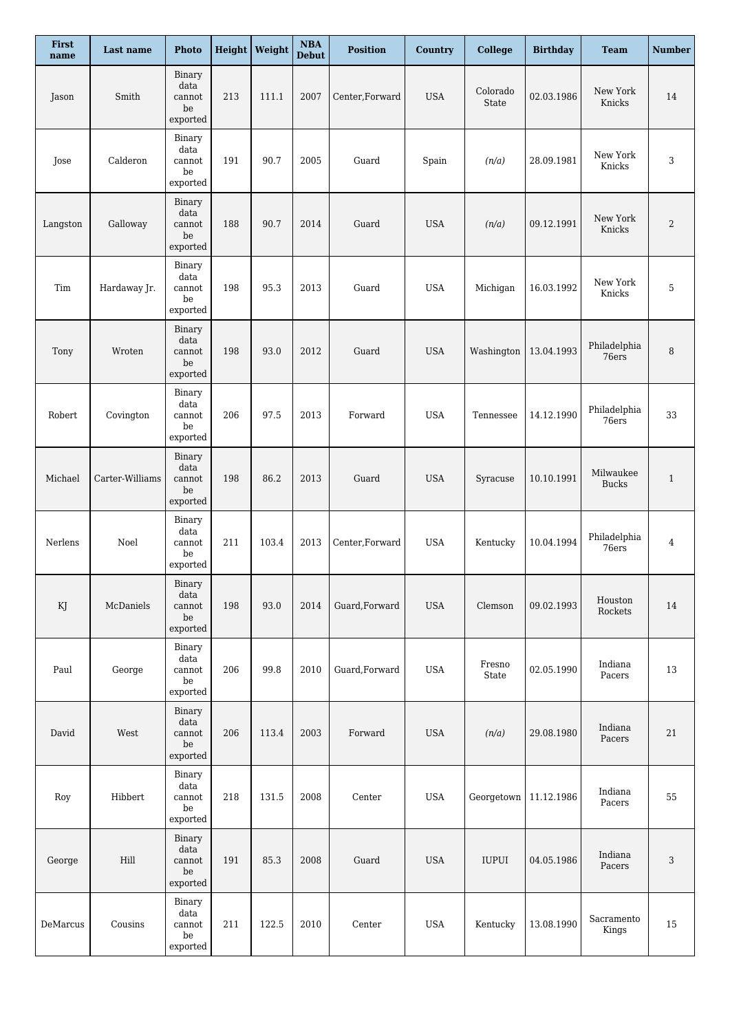| First<br>name | Last name             | Photo                                                      |     | Height   Weight | $\boldsymbol{\mathrm{NBA}}$<br><b>Debut</b> | <b>Position</b> | <b>Country</b> | <b>College</b>        | <b>Birthday</b> | <b>Team</b>               | <b>Number</b> |
|---------------|-----------------------|------------------------------------------------------------|-----|-----------------|---------------------------------------------|-----------------|----------------|-----------------------|-----------------|---------------------------|---------------|
| Jason         | Smith                 | Binary<br>data<br>cannot<br>be<br>exported                 | 213 | 111.1           | 2007                                        | Center, Forward | <b>USA</b>     | Colorado<br>State     | 02.03.1986      | New York<br>Knicks        | 14            |
| Jose          | Calderon              | Binary<br>data<br>cannot<br>be<br>exported                 | 191 | 90.7            | 2005                                        | Guard           | Spain          | (n/a)                 | 28.09.1981      | New York<br>Knicks        | 3             |
| Langston      | Galloway              | Binary<br>data<br>cannot<br>be<br>exported                 | 188 | 90.7            | 2014                                        | Guard           | <b>USA</b>     | (n/a)                 | 09.12.1991      | New York<br>Knicks        | 2             |
| Tim           | Hardaway Jr.          | Binary<br>data<br>cannot<br>be<br>exported                 | 198 | 95.3            | 2013                                        | Guard           | <b>USA</b>     | Michigan              | 16.03.1992      | New York<br>Knicks        | 5             |
| Tony          | Wroten                | Binary<br>data<br>cannot<br>$_{\rm be}$<br>exported        | 198 | 93.0            | 2012                                        | Guard           | <b>USA</b>     | Washington            | 13.04.1993      | Philadelphia<br>76ers     | 8             |
| Robert        | Covington             | Binary<br>data<br>cannot<br>be<br>exported                 | 206 | 97.5            | 2013                                        | Forward         | <b>USA</b>     | Tennessee             | 14.12.1990      | Philadelphia<br>76ers     | 33            |
| Michael       | Carter-Williams       | Binary<br>data<br>cannot<br>$_{\rm be}$<br>exported        | 198 | 86.2            | 2013                                        | Guard           | <b>USA</b>     | Syracuse              | 10.10.1991      | Milwaukee<br><b>Bucks</b> | $\mathbf{1}$  |
| Nerlens       | Noel                  | Binary<br>data<br>cannot<br>be<br>exported                 | 211 | 103.4           | 2013                                        | Center, Forward | <b>USA</b>     | Kentucky              | 10.04.1994      | Philadelphia<br>76ers     | 4             |
| KJ            | McDaniels             | Binary<br>data<br>cannot<br>be<br>exported                 | 198 | 93.0            | 2014                                        | Guard, Forward  | <b>USA</b>     | Clemson               | 09.02.1993      | Houston<br>Rockets        | 14            |
| Paul          | George                | Binary<br>data<br>cannot<br>be<br>exported                 | 206 | 99.8            | 2010                                        | Guard, Forward  | <b>USA</b>     | $\rm Fresno$<br>State | 02.05.1990      | Indiana<br>Pacers         | 13            |
| David         | West                  | Binary<br>data<br>cannot<br>$_{\rm be}$<br>exported        | 206 | 113.4           | 2003                                        | Forward         | <b>USA</b>     | (n/a)                 | 29.08.1980      | Indiana<br>Pacers         | 21            |
| Roy           | Hibbert               | Binary<br>data<br>cannot<br>be<br>exported                 | 218 | 131.5           | 2008                                        | Center          | <b>USA</b>     | Georgetown            | 11.12.1986      | Indiana<br>Pacers         | 55            |
| George        | $\operatorname{Hill}$ | Binary<br>data<br>cannot<br>$_{\rm be}$<br>exported        | 191 | 85.3            | 2008                                        | Guard           | <b>USA</b>     | IUPUI                 | 04.05.1986      | Indiana<br>Pacers         | 3             |
| DeMarcus      | Cousins               | Binary<br>data<br>cannot<br>$_{\rm be}$<br>$\tt{expected}$ | 211 | 122.5           | 2010                                        | Center          | <b>USA</b>     | Kentucky              | 13.08.1990      | Sacramento<br>Kings       | 15            |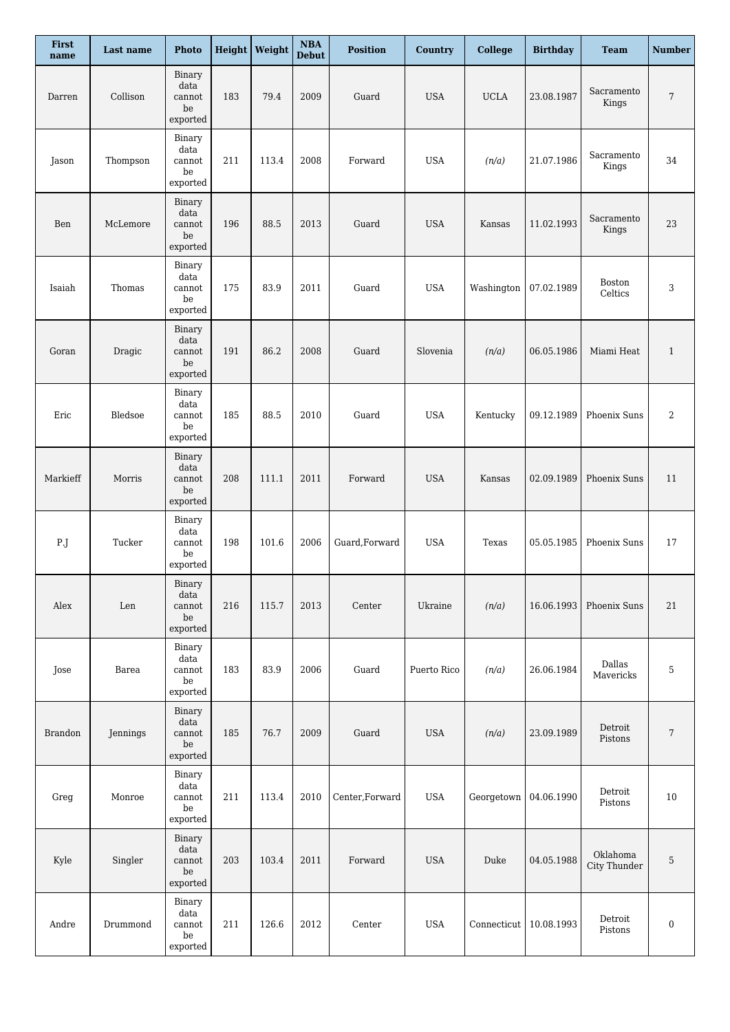| First<br>name  | Last name | <b>Photo</b>                                                |     | Height   Weight | $\boldsymbol{\mathrm{NBA}}$<br><b>Debut</b> | <b>Position</b> | Country     | <b>College</b>           | <b>Birthday</b> | <b>Team</b>                 | <b>Number</b>    |
|----------------|-----------|-------------------------------------------------------------|-----|-----------------|---------------------------------------------|-----------------|-------------|--------------------------|-----------------|-----------------------------|------------------|
| Darren         | Collison  | Binary<br>data<br>cannot<br>be<br>exported                  | 183 | 79.4            | 2009                                        | Guard           | <b>USA</b>  | <b>UCLA</b>              | 23.08.1987      | Sacramento<br>Kings         | $\overline{7}$   |
| Jason          | Thompson  | Binary<br>data<br>cannot<br>be<br>exported                  | 211 | 113.4           | 2008                                        | Forward         | <b>USA</b>  | (n/a)                    | 21.07.1986      | Sacramento<br>Kings         | 34               |
| Ben            | McLemore  | Binary<br>data<br>cannot<br>be<br>exported                  | 196 | 88.5            | 2013                                        | Guard           | <b>USA</b>  | Kansas                   | 11.02.1993      | Sacramento<br>Kings         | 23               |
| Isaiah         | Thomas    | Binary<br>data<br>cannot<br>be<br>exported                  | 175 | 83.9            | 2011                                        | Guard           | <b>USA</b>  | Washington               | 07.02.1989      | <b>Boston</b><br>Celtics    | 3                |
| Goran          | Dragic    | Binary<br>data<br>cannot<br>be<br>exported                  | 191 | 86.2            | 2008                                        | Guard           | Slovenia    | (n/a)                    | 06.05.1986      | Miami Heat                  | $\mathbf{1}$     |
| Eric           | Bledsoe   | Binary<br>data<br>cannot<br>be<br>exported                  | 185 | 88.5            | 2010                                        | Guard           | <b>USA</b>  | Kentucky                 | 09.12.1989      | Phoenix Suns                | 2                |
| Markieff       | Morris    | Binary<br>data<br>cannot<br>$_{\rm be}$<br>exported         | 208 | 111.1           | 2011                                        | Forward         | <b>USA</b>  | Kansas                   | 02.09.1989      | Phoenix Suns                | 11               |
| P.J            | Tucker    | Binary<br>data<br>cannot<br>be<br>exported                  | 198 | 101.6           | 2006                                        | Guard, Forward  | <b>USA</b>  | Texas                    | 05.05.1985      | Phoenix Suns                | 17               |
| $\rm{Alex}$    | Len       | Binary<br>data<br>cannot<br>be<br>exported                  | 216 | 115.7           | 2013                                        | Center          | Ukraine     | (n/a)                    | 16.06.1993      | <b>Phoenix Suns</b>         | 21               |
| Jose           | Barea     | Binary<br>data<br>$\operatorname{cannot}$<br>be<br>exported | 183 | 83.9            | 2006                                        | Guard           | Puerto Rico | (n/a)                    | 26.06.1984      | Dallas<br>Mavericks         | 5                |
| <b>Brandon</b> | Jennings  | Binary<br>data<br>cannot<br>$_{\rm be}$<br>exported         | 185 | 76.7            | 2009                                        | Guard           | <b>USA</b>  | (n/a)                    | 23.09.1989      | $\mbox{Detroit}$<br>Pistons | 7                |
| Greg           | Monroe    | Binary<br>data<br>cannot<br>be<br>$\tt{expected}$           | 211 | 113.4           | 2010                                        | Center, Forward | <b>USA</b>  | Georgetown               | 04.06.1990      | Detroit<br>Pistons          | 10               |
| Kyle           | Singler   | Binary<br>data<br>cannot<br>$_{\rm be}$<br>exported         | 203 | 103.4           | 2011                                        | Forward         | <b>USA</b>  | Duke                     | 04.05.1988      | Oklahoma<br>City Thunder    | 5                |
| Andre          | Drummond  | Binary<br>data<br>cannot<br>$_{\rm be}$<br>exported         | 211 | 126.6           | 2012                                        | Center          | <b>USA</b>  | Connecticut   10.08.1993 |                 | Detroit<br>Pistons          | $\boldsymbol{0}$ |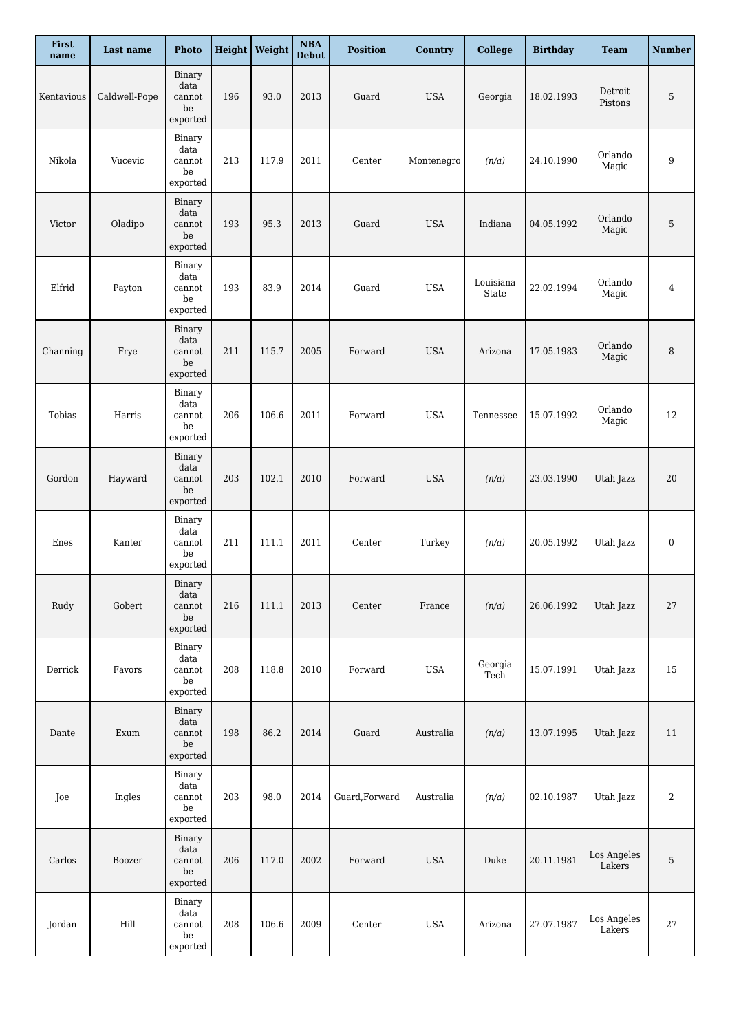| First<br>name | Last name     | <b>Photo</b>                                                             |     | <b>Height</b> Weight | $\boldsymbol{\rm NBA}$<br><b>Debut</b> | <b>Position</b> | <b>Country</b> | <b>College</b>     | <b>Birthday</b> | <b>Team</b>           | <b>Number</b>    |
|---------------|---------------|--------------------------------------------------------------------------|-----|----------------------|----------------------------------------|-----------------|----------------|--------------------|-----------------|-----------------------|------------------|
| Kentavious    | Caldwell-Pope | Binary<br>data<br>cannot<br>$_{\rm be}$<br>exported                      | 196 | 93.0                 | 2013                                   | Guard           | <b>USA</b>     | Georgia            | 18.02.1993      | Detroit<br>Pistons    | 5                |
| Nikola        | Vucevic       | Binary<br>data<br>cannot<br>be<br>exported                               | 213 | 117.9                | 2011                                   | Center          | Montenegro     | (n/a)              | 24.10.1990      | Orlando<br>Magic      | 9                |
| Victor        | Oladipo       | Binary<br>data<br>cannot<br>be<br>exported                               | 193 | 95.3                 | 2013                                   | Guard           | <b>USA</b>     | Indiana            | 04.05.1992      | Orlando<br>Magic      | 5                |
| Elfrid        | Payton        | Binary<br>data<br>cannot<br>be<br>exported                               | 193 | 83.9                 | 2014                                   | Guard           | <b>USA</b>     | Louisiana<br>State | 22.02.1994      | Orlando<br>Magic      | $\overline{4}$   |
| Channing      | Frye          | Binary<br>data<br>cannot<br>be<br>exported                               | 211 | 115.7                | 2005                                   | Forward         | <b>USA</b>     | Arizona            | 17.05.1983      | Orlando<br>Magic      | 8                |
| Tobias        | Harris        | Binary<br>data<br>cannot<br>be<br>$\footnotesize{\textnormal{expected}}$ | 206 | 106.6                | 2011                                   | Forward         | <b>USA</b>     | Tennessee          | 15.07.1992      | Orlando<br>Magic      | 12               |
| Gordon        | Hayward       | Binary<br>data<br>cannot<br>be<br>exported                               | 203 | 102.1                | 2010                                   | Forward         | <b>USA</b>     | (n/a)              | 23.03.1990      | Utah Jazz             | 20               |
| Enes          | Kanter        | Binary<br>data<br>cannot<br>be<br>$\tt{expected}$                        | 211 | 111.1                | 2011                                   | Center          | Turkey         | (n/a)              | 20.05.1992      | Utah Jazz             | $\boldsymbol{0}$ |
| Rudy          | Gobert        | Binary<br>data<br>cannot<br>be<br>exported                               | 216 | 111.1                | 2013                                   | Center          | France         | (n/a)              | 26.06.1992      | Utah Jazz             | 27               |
| Derrick       | Favors        | Binary<br>data<br>cannot<br>be<br>exported                               | 208 | 118.8                | 2010                                   | Forward         | <b>USA</b>     | Georgia<br>Tech    | 15.07.1991      | Utah Jazz             | 15               |
| Dante         | Exum          | Binary<br>data<br>cannot<br>$_{\rm be}$<br>exported                      | 198 | 86.2                 | 2014                                   | Guard           | Australia      | (n/a)              | 13.07.1995      | Utah Jazz             | 11               |
| Joe           | Ingles        | Binary<br>data<br>cannot<br>be<br>$\tt{expected}$                        | 203 | 98.0                 | 2014                                   | Guard, Forward  | Australia      | (n/a)              | 02.10.1987      | Utah Jazz             | 2                |
| Carlos        | Boozer        | Binary<br>data<br>cannot<br>$_{\rm be}$<br>exported                      | 206 | 117.0                | 2002                                   | Forward         | <b>USA</b>     | Duke               | 20.11.1981      | Los Angeles<br>Lakers | 5                |
| Jordan        | Hill          | Binary<br>data<br>cannot<br>$_{\rm be}$<br>exported                      | 208 | 106.6                | 2009                                   | Center          | <b>USA</b>     | Arizona            | 27.07.1987      | Los Angeles<br>Lakers | $27\,$           |